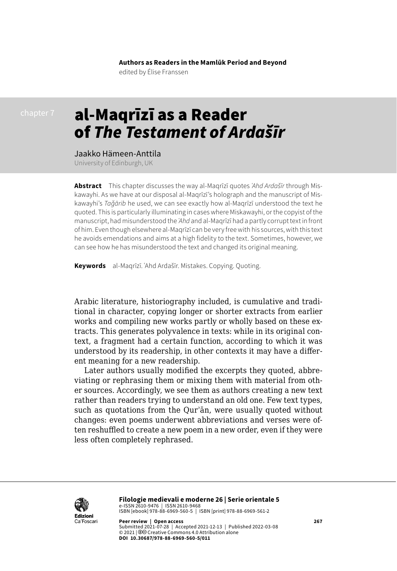**Authors as Readers in the Mamlūk Period and Beyond** edited by Élise Franssen

# al-Maqrīzī as a Reader of *The Testament of Ardašīr*

### Jaakko Hämeen-Anttila

University of Edinburgh, UK

**Abstract** This chapter discusses the way al-Maqrīzī quotes *ʿAhd Ardašīr* through Miskawayhi. As we have at our disposal al-Maqrīzī's holograph and the manuscript of Miskawayhi's *Taǧārib* he used, we can see exactly how al-Maqrīzī understood the text he quoted. This is particularly illuminating in cases where Miskawayhi, or the copyist of the manuscript, had misunderstood the *ʿAhd* and al-Maqrīzī had a partly corrupt text in front of him. Even though elsewhere al-Maqrīzī can be very free with his sources, with this text he avoids emendations and aims at a high fidelity to the text. Sometimes, however, we can see how he has misunderstood the text and changed its original meaning.

**Keywords** al-Maqrīzī. ʿAhd Ardašīr. Mistakes. Copying. Quoting.

Arabic literature, historiography included, is cumulative and traditional in character, copying longer or shorter extracts from earlier works and compiling new works partly or wholly based on these extracts. This generates polyvalence in texts: while in its original context, a fragment had a certain function, according to which it was understood by its readership, in other contexts it may have a different meaning for a new readership.

Later authors usually modified the excerpts they quoted, abbreviating or rephrasing them or mixing them with material from other sources. Accordingly, we see them as authors creating a new text rather than readers trying to understand an old one. Few text types, such as quotations from the Qurʾān, were usually quoted without changes: even poems underwent abbreviations and verses were often reshuffled to create a new poem in a new order, even if they were less often completely rephrased.



**Filologie medievali e moderne 26 | Serie orientale 5**  e-ISSN 2610-9476 | ISSN 2610-9468 ISBN [ebook] 978-88-6969-560-5 | ISBN [print] 978-88-6969-561-2

**Peer review | Open access 267** Submitted 2021-07-28 | Accepted 2021-12-13 | Published 2022-03-08 © 2021 | 0<sup>o</sup> Creative Commons 4.0 Attribution alone **DOI 10.30687/978-88-6969-560-5/011**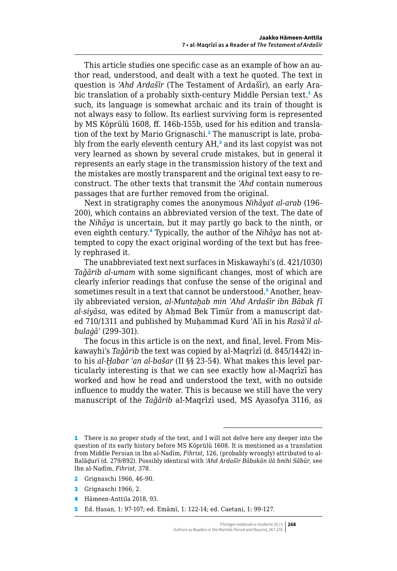This article studies one specific case as an example of how an author read, understood, and dealt with a text he quoted. The text in question is *ʿAhd Ardašīr* (The Testament of Ardašīr), an early Arabic translation of a probably sixth-century Middle Persian text.<sup>1</sup> As such, its language is somewhat archaic and its train of thought is not always easy to follow. Its earliest surviving form is represented by MS Köprülü 1608, ff. 146b-155b, used for his edition and translation of the text by Mario Grignaschi.<sup>2</sup> The manuscript is late, probably from the early eleventh century AH,<sup>3</sup> and its last copyist was not very learned as shown by several crude mistakes, but in general it represents an early stage in the transmission history of the text and the mistakes are mostly transparent and the original text easy to reconstruct. The other texts that transmit the *ʿAhd* contain numerous passages that are further removed from the original.

Next in stratigraphy comes the anonymous *Nihāyat al-arab* (196- 200), which contains an abbreviated version of the text. The date of the *Nihāya* is uncertain, but it may partly go back to the ninth, or even eighth century.<sup>4</sup> Typically, the author of the *Nihāya* has not attempted to copy the exact original wording of the text but has freely rephrased it.

The unabbreviated text next surfaces in Miskawayhi's (d. 421/1030) *Taǧārib al-umam* with some significant changes, most of which are clearly inferior readings that confuse the sense of the original and sometimes result in a text that cannot be understood.<sup>5</sup> Another, heavily abbreviated version, *al-Muntaḫab min ʿAhd Ardašīr ibn Bābak fī al-siyāsa*, was edited by Aḥmad Bek Tīmūr from a manuscript dated 710/1311 and published by Muhammad Kurd 'Alī in his *Rasā'il albulaġāʾ* (299-301).

The focus in this article is on the next, and final, level. From Miskawayhi's *Taǧārib* the text was copied by al-Maqrīzī (d. 845/1442) into his *al-Ḫabar ʿan al-bašar* (II §§ 23-54). What makes this level particularly interesting is that we can see exactly how al-Maqrīzī has worked and how he read and understood the text, with no outside influence to muddy the water. This is because we still have the very manuscript of the *Taǧārib* al-Maqrīzī used, MS Ayasofya 3116, as

<sup>1</sup> There is no proper study of the text, and I will not delve here any deeper into the question of its early history before MS Köprülü 1608. It is mentioned as a translation from Middle Persian in Ibn al-Nadīm, *Fihrist*, 126, (probably wrongly) attributed to al-Balāḏurī (d. 279/892). Possibly identical with *ʿAhd Ardašīr Bābakān ilā bnihi Sābūr*, see Ibn al-Nadīm, *Fihrist*, 378.

<sup>2</sup> Grignaschi 1966, 46-90.

<sup>3</sup> Grignaschi 1966, 2.

<sup>4</sup> Hämeen-Anttila 2018, 93.

<sup>5</sup> Ed. Ḥasan, 1: 97-107; ed. Emāmī, 1: 122-14; ed. Caetani, 1: 99-127.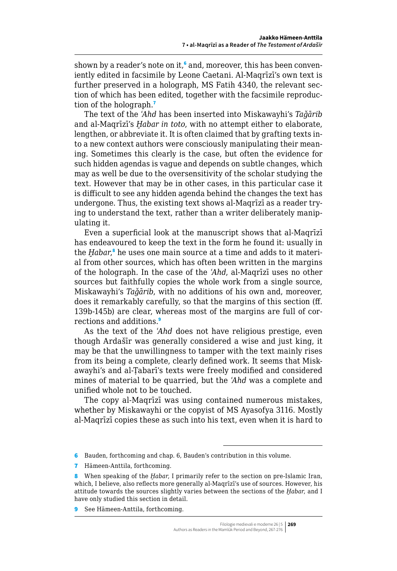shown by a reader's note on it,<sup>6</sup> and, moreover, this has been conveniently edited in facsimile by Leone Caetani. Al-Maqrīzī's own text is further preserved in a holograph, MS Fatih 4340, the relevant section of which has been edited, together with the facsimile reproduction of the holograph.<sup>7</sup>

The text of the *ʿAhd* has been inserted into Miskawayhi's *Taǧārib* and al-Maqrīzī's *Ḫabar in toto*, with no attempt either to elaborate, lengthen, or abbreviate it. It is often claimed that by grafting texts into a new context authors were consciously manipulating their meaning. Sometimes this clearly is the case, but often the evidence for such hidden agendas is vague and depends on subtle changes, which may as well be due to the oversensitivity of the scholar studying the text. However that may be in other cases, in this particular case it is difficult to see any hidden agenda behind the changes the text has undergone. Thus, the existing text shows al-Maqrīzī as a reader trying to understand the text, rather than a writer deliberately manipulating it.

Even a superficial look at the manuscript shows that al-Maqrīzī has endeavoured to keep the text in the form he found it: usually in the *Ḫabar*, 8 he uses one main source at a time and adds to it material from other sources, which has often been written in the margins of the holograph. In the case of the *ʿAhd*, al-Maqrīzī uses no other sources but faithfully copies the whole work from a single source, Miskawayhi's *Taǧārib*, with no additions of his own and, moreover, does it remarkably carefully, so that the margins of this section (ff. 139b-145b) are clear, whereas most of the margins are full of corrections and additions.<sup>9</sup>

As the text of the *ʿAhd* does not have religious prestige, even though Ardašīr was generally considered a wise and just king, it may be that the unwillingness to tamper with the text mainly rises from its being a complete, clearly defined work. It seems that Miskawayhi's and al-Ṭabarī's texts were freely modified and considered mines of material to be quarried, but the *ʿAhd* was a complete and unified whole not to be touched.

The copy al-Maqrīzī was using contained numerous mistakes, whether by Miskawayhi or the copyist of MS Ayasofya 3116. Mostly al-Maqrīzī copies these as such into his text, even when it is hard to

7 Hämeen-Anttila, forthcoming.

<sup>6</sup> Bauden, forthcoming and chap. 6, Bauden's contribution in this volume.

<sup>8</sup> When speaking of the *Ḫabar*, I primarily refer to the section on pre-Islamic Iran, which, I believe, also reflects more generally al-Maqrīzī's use of sources. However, his attitude towards the sources slightly varies between the sections of the *Ḫabar*, and I have only studied this section in detail.

<sup>9</sup> See Hämeen-Anttila, forthcoming.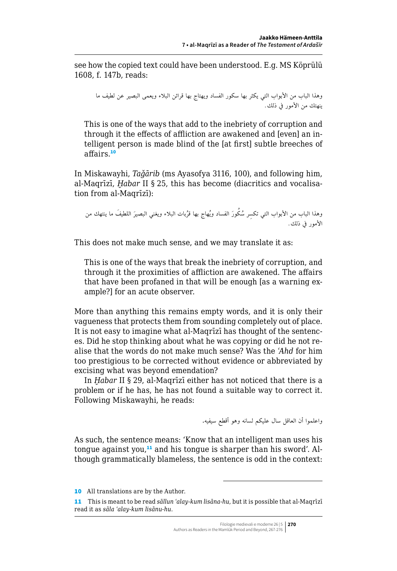see how the copied text could have been understood. E.g. MS Köprülü 1608, f. 147b, reads:

وهذا الباب من األبواب التي يكثر بها سكور الفساد ويهتاج بها قرائن البالء ويعمى البصير عن لطيف ما ينهتك من األمور يف ذلك.

This is one of the ways that add to the inebriety of corruption and through it the effects of affliction are awakened and [even] an intelligent person is made blind of the [at first] subtle breeches of affairs.<sup>10</sup>

In Miskawayhi, *Taǧārib* (ms Ayasofya 3116, 100), and following him, al-Maqrīzī, *Ḫabar* II § 25, this has become (diacritics and vocalisation from al-Maqrīzī):

وهذا الباب من الأبواب التي تكسر سُكُورَ الفساد ويُهاج بها قرُبات البلاء ويغني البصيرَ اللطيفَ ما ينتهك من الأمور في ذلك.

This does not make much sense, and we may translate it as:

This is one of the ways that break the inebriety of corruption, and through it the proximities of affliction are awakened. The affairs that have been profaned in that will be enough [as a warning example?] for an acute observer.

More than anything this remains empty words, and it is only their vagueness that protects them from sounding completely out of place. It is not easy to imagine what al-Maqrīzī has thought of the sentences. Did he stop thinking about what he was copying or did he not realise that the words do not make much sense? Was the *ʿAhd* for him too prestigious to be corrected without evidence or abbreviated by excising what was beyond emendation?

In *Ḫabar* II § 29, al-Maqrīzī either has not noticed that there is a problem or if he has, he has not found a suitable way to correct it. Following Miskawayhi, he reads:

واعلموا أن العاقل سال عليكم لسانه وهو أقطع سيفيه.

As such, the sentence means: 'Know that an intelligent man uses his tongue against you, $11$  and his tongue is sharper than his sword'. Although grammatically blameless, the sentence is odd in the context:

<sup>10</sup> All translations are by the Author.

<sup>11</sup> This is meant to be read *sāllun ʿalay-kum lisāna-hu*, but it is possible that al-Maqrīzī read it as *sāla ʿalay-kum lisānu-hu*.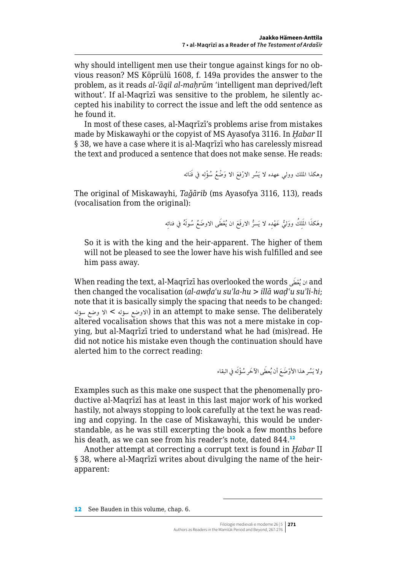why should intelligent men use their tongue against kings for no obvious reason? MS Köprülü 1608, f. 149a provides the answer to the problem, as it reads *al-ʿāqil al-maḥrūm* 'intelligent man deprived/left without'. If al-Maqrīzī was sensitive to the problem, he silently accepted his inability to correct the issue and left the odd sentence as he found it.

In most of these cases, al-Maqrīzī's problems arise from mistakes made by Miskawayhi or the copyist of MS Ayasofya 3116. In *Ḫabar* II § 38, we have a case where it is al-Maqrīzī who has carelessly misread the text and produced a sentence that does not make sense. He reads:

وهكذا الملك وولي عهده لا يَسُر الارْفعَ الا وَضْعُ سُؤْلِه في فَنَائه

The original of Miskawayhi, *Taǧārib* (ms Ayasofya 3116, 113), reads (vocalisation from the original):

وهَكذَا المُلِكُ ووَليُّ عَهْدِه لا يَسرُّ الارفَعَ ان يُعْطَى الاوضَعُ سُولَهُ في فنائِه

So it is with the king and the heir-apparent. The higher of them will not be pleased to see the lower have his wish fulfilled and see him pass away.

When reading the text, al-Maqrīzī has overlooked the words ان يُعْفَى and then changed the vocalisation (*al-awḍaʿu suʾla-hu* > *illā waḍʿu suʾli-hi*; note that it is basically simply the spacing that needs to be changed: الاوضع سؤله > الا وضع سؤله) in an attempt to make sense. The deliberately altered vocalisation shows that this was not a mere mistake in copying, but al-Maqrīzī tried to understand what he had (mis)read. He did not notice his mistake even though the continuation should have alerted him to the correct reading:

ولا يَسُر هذا الأوْضَعَ أن يُعطَى الآخَر سُؤْلَه في البقاء

Examples such as this make one suspect that the phenomenally productive al-Maqrīzī has at least in this last major work of his worked hastily, not always stopping to look carefully at the text he was reading and copying. In the case of Miskawayhi, this would be understandable, as he was still excerpting the book a few months before his death, as we can see from his reader's note, dated 844.<sup>12</sup>

Another attempt at correcting a corrupt text is found in *Ḫabar* II § 38, where al-Maqrīzī writes about divulging the name of the heirapparent:

<sup>12</sup> See Bauden in this volume, chap. 6.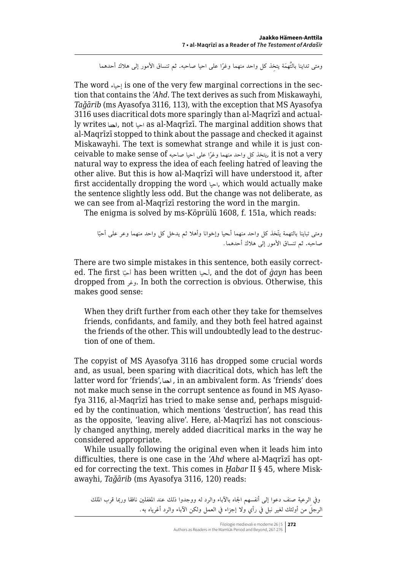ومتى تداينا بالتُهمَة يتخذ كل واحد منهما وغرًا على احيا صاحبه. ثم تنساق الأمور إلى هلاك أحدهما

The word إحياء is one of the very few marginal corrections in the section that contains the *ʿAhd*. The text derives as such from Miskawayhi, *Taǧārib* (ms Ayasofya 3116, 113), with the exception that MS Ayasofya 3116 uses diacritical dots more sparingly than al-Maqrīzī and actually writes , not احيا as al-Maqrīzī. The marginal addition shows that al-Maqrīzī stopped to think about the passage and checked it against Miskawayhi. The text is somewhat strange and while it is just conceivable to make sense of صاحبه احيا على وغرا ً منهما واحد كل يتخذ ِ , it is not a very natural way to express the idea of each feeling hatred of leaving the other alive. But this is how al-Maqrīzī will have understood it, after first accidentally dropping the word احيا, which would actually make the sentence slightly less odd. But the change was not deliberate, as we can see from al-Maqrīzī restoring the word in the margin.

The enigma is solved by ms-Köprülü 1608, f. 151a, which reads:

ّا ومتى تباينا بالتهمة ّيتخذ كل واحد منهما أـحيا وإخوانا وأهال ثم يدخل كل واحد منهما وعر على أحب صاحبه. ثم تنساق األمور إلى هالك أحدهما.

There are two simple mistakes in this sentence, both easily corrected. The first اّ أحب has been written أـحيا, and the dot of *ġayn* has been dropped from وغر. In both the correction is obvious. Otherwise, this makes good sense:

When they drift further from each other they take for themselves friends, confidants, and family, and they both feel hatred against the friends of the other. This will undoubtedly lead to the destruction of one of them.

The copyist of MS Ayasofya 3116 has dropped some crucial words and, as usual, been sparing with diacritical dots, which has left the latter word for 'friends', , in an ambivalent form. As 'friends' does not make much sense in the corrupt sentence as found in MS Ayasofya 3116, al-Maqrīzī has tried to make sense and, perhaps misguided by the continuation, which mentions 'destruction', has read this as the opposite, 'leaving alive'. Here, al-Maqrīzī has not consciously changed anything, merely added diacritical marks in the way he considered appropriate.

While usually following the original even when it leads him into difficulties, there is one case in the *ʿAhd* where al-Maqrīzī has opted for correcting the text. This comes in *Ḫabar* II § 45, where Miskawayhi, *Taǧārib* (ms Ayasofya 3116, 120) reads:

وفي الرعية صنف دعوا إلى أنفسهم الجاه بالآباء والرد له ووجدوا ذلك عند المغفلين نافقا وربما قرب الملك َ الرجل من أولئك لغير نبل يف رأي وال إجزاء يف العمل ولكن اآلباء والرد أغرياه به.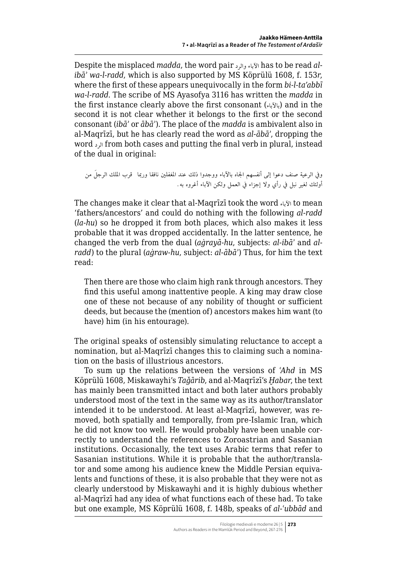Despite the misplaced *madda*, the word pair الآباء والرد has to be read *alibāʾ wa-l-radd*, which is also supported by MS Köprülü 1608, f. 153*r*, where the first of these appears unequivocally in the form *bi-l-ta'abbī wa-l-radd*. The scribe of MS Ayasofya 3116 has written the *madda* in the first instance clearly above the first consonant (بالآباء) and in the second it is not clear whether it belongs to the first or the second consonant (*ibāʾ* or *ābāʾ*). The place of the *madda* is ambivalent also in al-Maqrīzī, but he has clearly read the word as *al-ābāʾ*, dropping the word الرد from both cases and putting the final verb in plural, instead of the dual in original:

```
وفي الرعية صنف دعوا إلى أنفسهم الجاه بالآباء ووجدوا ذلك عند المغفلين نافقا وربما   قرب الملك الرجلَ من
                           أولئك لغير نبل يف رأي وال إجزاء يف العمل ولكن اآلباء أغروه به.
```
The changes make it clear that al-Maqrīzī took the word اآلباء to mean 'fathers/ancestors' and could do nothing with the following *al-radd* (*la-hu*) so he dropped it from both places, which also makes it less probable that it was dropped accidentally. In the latter sentence, he changed the verb from the dual (*aġrayā-hu*, subjects: *al-ibāʾ* and *alradd*) to the plural (*aġraw-hu*, subject: *al-ābāʾ*) Thus, for him the text read:

Then there are those who claim high rank through ancestors. They find this useful among inattentive people. A king may draw close one of these not because of any nobility of thought or sufficient deeds, but because the (mention of) ancestors makes him want (to have) him (in his entourage).

The original speaks of ostensibly simulating reluctance to accept a nomination, but al-Maqrīzī changes this to claiming such a nomination on the basis of illustrious ancestors.

To sum up the relations between the versions of *ʿAhd* in MS Köprülü 1608, Miskawayhi's *Taǧārib*, and al-Maqrīzī's *Ḫabar*, the text has mainly been transmitted intact and both later authors probably understood most of the text in the same way as its author/translator intended it to be understood. At least al-Maqrīzī, however, was removed, both spatially and temporally, from pre-Islamic Iran, which he did not know too well. He would probably have been unable correctly to understand the references to Zoroastrian and Sasanian institutions. Occasionally, the text uses Arabic terms that refer to Sasanian institutions. While it is probable that the author/translator and some among his audience knew the Middle Persian equivalents and functions of these, it is also probable that they were not as clearly understood by Miskawayhi and it is highly dubious whether al-Maqrīzī had any idea of what functions each of these had. To take but one example, MS Köprülü 1608, f. 148b, speaks of *al-ʿubbād* and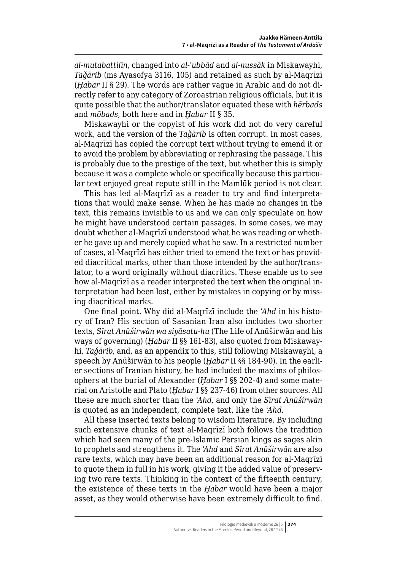*al-mutabattilīn*, changed into *al-ʿubbād* and *al-nussāk* in Miskawayhi, *Taǧārib* (ms Ayasofya 3116, 105) and retained as such by al-Maqrīzī (*Ḫabar* II § 29). The words are rather vague in Arabic and do not directly refer to any category of Zoroastrian religious officials, but it is quite possible that the author/translator equated these with *hērbads* and *mōbads*, both here and in *Ḫabar* II § 35.

Miskawayhi or the copyist of his work did not do very careful work, and the version of the *Taǧārib* is often corrupt. In most cases, al-Maqrīzī has copied the corrupt text without trying to emend it or to avoid the problem by abbreviating or rephrasing the passage. This is probably due to the prestige of the text, but whether this is simply because it was a complete whole or specifically because this particular text enjoyed great repute still in the Mamlūk period is not clear.

This has led al-Maqrīzī as a reader to try and find interpretations that would make sense. When he has made no changes in the text, this remains invisible to us and we can only speculate on how he might have understood certain passages. In some cases, we may doubt whether al-Maqrīzī understood what he was reading or whether he gave up and merely copied what he saw. In a restricted number of cases, al-Maqrīzī has either tried to emend the text or has provided diacritical marks, other than those intended by the author/translator, to a word originally without diacritics. These enable us to see how al-Maqrīzī as a reader interpreted the text when the original interpretation had been lost, either by mistakes in copying or by missing diacritical marks.

One final point. Why did al-Maqrīzī include the *ʿAhd* in his history of Iran? His section of Sasanian Iran also includes two shorter texts, *Sīrat Anūširwān wa siyāsatu-hu* (The Life of Anūširwān and his ways of governing) (*Ḫabar* II §§ 161-83), also quoted from Miskawayhi, *Taǧārib*, and, as an appendix to this, still following Miskawayhi, a speech by Anūširwān to his people (*Ḫabar* II §§ 184-90). In the earlier sections of Iranian history, he had included the maxims of philosophers at the burial of Alexander (*Ḫabar* I §§ 202-4) and some material on Aristotle and Plato (*Ḫabar* I §§ 237-46) from other sources. All these are much shorter than the *ʿAhd*, and only the *Sīrat Anūširwān* is quoted as an independent, complete text, like the *ʿAhd*.

All these inserted texts belong to wisdom literature. By including such extensive chunks of text al-Maqrīzī both follows the tradition which had seen many of the pre-Islamic Persian kings as sages akin to prophets and strengthens it. The *ʿAhd* and *Sīrat Anūširwān* are also rare texts, which may have been an additional reason for al-Maqrīzī to quote them in full in his work, giving it the added value of preserving two rare texts. Thinking in the context of the fifteenth century, the existence of these texts in the *Ḫabar* would have been a major asset, as they would otherwise have been extremely difficult to find.